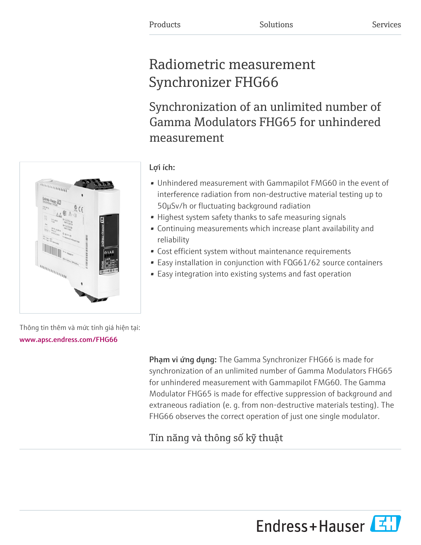# Radiometric measurement Synchronizer FHG66

Synchronization of an unlimited number of Gamma Modulators FHG65 for unhindered measurement

# Lợi ích:

- Unhindered measurement with Gammapilot FMG60 in the event of interference radiation from non-destructive material testing up to 50μSv/h or fluctuating background radiation
- Highest system safety thanks to safe measuring signals
- Continuing measurements which increase plant availability and reliability
- Cost efficient system without maintenance requirements
- Easy installation in conjunction with FQG61/62 source containers
- Easy integration into existing systems and fast operation

Thông tin thêm và mức tính giá hiện tại: [www.apsc.endress.com/FHG66](https://www.apsc.endress.com/FHG66)

> Phạm vi ứng dụng: The Gamma Synchronizer FHG66 is made for synchronization of an unlimited number of Gamma Modulators FHG65 for unhindered measurement with Gammapilot FMG60. The Gamma Modulator FHG65 is made for effective suppression of background and extraneous radiation (e. g. from non-destructive materials testing). The FHG66 observes the correct operation of just one single modulator.

# Tín năng và thông số kỹ thuật



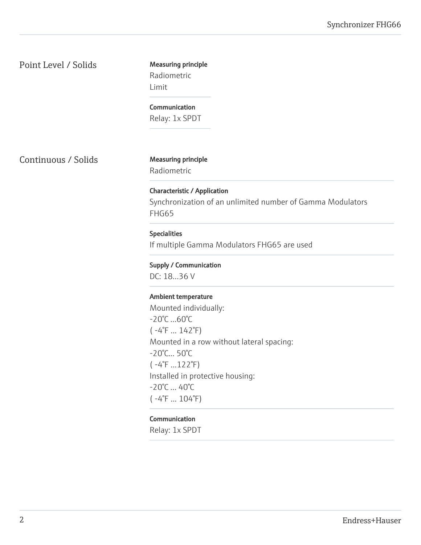Point Level / Solids Measuring principle

Radiometric Limit

**Communication** Relay: 1x SPDT

Continuous / Solids Measuring principle

Radiometric

Characteristic / Application Synchronization of an unlimited number of Gamma Modulators FHG65

## Specialities

If multiple Gamma Modulators FHG65 are used

Supply / Communication

DC: 18...36 V

#### Ambient temperature

Mounted individually: -20°C ...60°C  $(-4^{\circ}F ... 142^{\circ}F)$ Mounted in a row without lateral spacing: -20°C... 50°C ( -4°F ...122°F) Installed in protective housing: -20°C ... 40°C  $(-4^{\circ}F ... 104^{\circ}F)$ 

#### Communication

Relay: 1x SPDT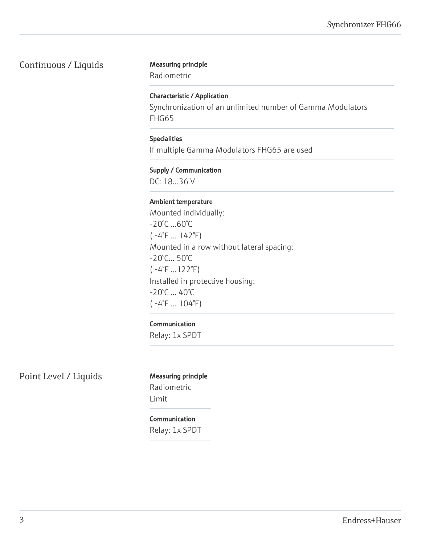# Continuous / Liquids Measuring principle

Radiometric

### Characteristic / Application

Synchronization of an unlimited number of Gamma Modulators FHG65

# Specialities

If multiple Gamma Modulators FHG65 are used

### Supply / Communication

DC: 18...36 V

#### Ambient temperature

Mounted individually: -20°C ...60°C  $(-4^{\circ}F ... 142^{\circ}F)$ Mounted in a row without lateral spacing: -20°C... 50°C ( -4°F ...122°F) Installed in protective housing: -20°C ... 40°C ( -4°F ... 104°F)

#### Communication

Relay: 1x SPDT

Point Level / Liquids Measuring principle

# Radiometric Limit

# Communication Relay: 1x SPDT